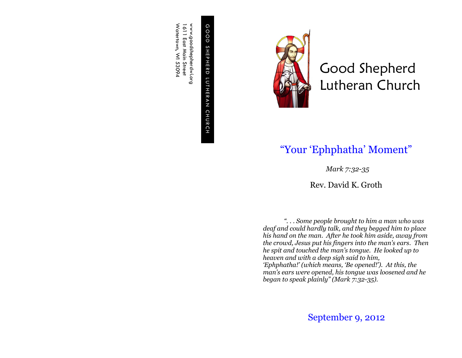G O O D S H E P H E R D L U T H E R GOOD SHEPHERD LUTHERAN CHURCH C H U R C H

www.goodshepherdwi.org<br>1611 East Main Street<br>Watertown, WI 53094 Watertown, WI 53094 www.goodshepherdwi.org 1611 East Main Street



Good Shepherd Lutheran Church

## "Your 'Ephphatha' Moment"

*Mark 7:32-35*

Rev. David K. Groth

*". . . Some people brought to him a man who was deaf and could hardly talk, and they begged him to place his hand on the man. After he took him aside, away from the crowd, Jesus put his fingers into the man's ears. Then he spit and touched the man's tongue. He looked up to heaven and with a deep sigh said to him, 'Ephphatha!' (which means, 'Be opened!'). At this, the man's ears were opened, his tongue was loosened and he began to speak plainly" (Mark 7:32-35).*

September 9, 2012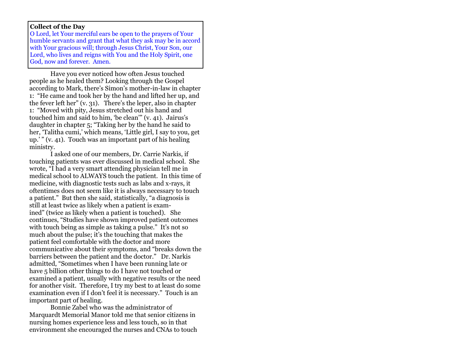## **Collect of the Day**

O Lord, let Your merciful ears be open to the prayers of Your humble servants and grant that what they ask may be in accord with Your gracious will; through Jesus Christ, Your Son, our Lord, who lives and reigns with You and the Holy Spirit, one God, now and forever. Amen.

Have you ever noticed how often Jesus touched people as he healed them? Looking through the Gospel according to Mark, there's Simon's mother-in-law in chapter 1: "He came and took her by the hand and lifted her up, and the fever left her" (v. 31). There's the leper, also in chapter 1: "Moved with pity, Jesus stretched out his hand and touched him and said to him, 'be clean'" (v. 41). Jairus's daughter in chapter 5; "Taking her by the hand he said to her, 'Talitha cumi,' which means, 'Little girl, I say to you, get up.' " (v. 41). Touch was an important part of his healing ministry.

I asked one of our members, Dr. Carrie Narkis, if touching patients was ever discussed in medical school. She wrote, "I had a very smart attending physician tell me in medical school to ALWAYS touch the patient. In this time of medicine, with diagnostic tests such as labs and x-rays, it oftentimes does not seem like it is always necessary to touch a patient." But then she said, statistically, "a diagnosis is still at least twice as likely when a patient is examined" (twice as likely when a patient is touched). She continues, "Studies have shown improved patient outcomes with touch being as simple as taking a pulse." It's not so much about the pulse; it's the touching that makes the patient feel comfortable with the doctor and more communicative about their symptoms, and "breaks down the barriers between the patient and the doctor." Dr. Narkis admitted, "Sometimes when I have been running late or have 5 billion other things to do I have not touched or examined a patient, usually with negative results or the need for another visit. Therefore, I try my best to at least do some examination even if I don't feel it is necessary." Touch is an important part of healing.

Bonnie Zabel who was the administrator of Marquardt Memorial Manor told me that senior citizens in nursing homes experience less and less touch, so in that environment she encouraged the nurses and CNAs to touch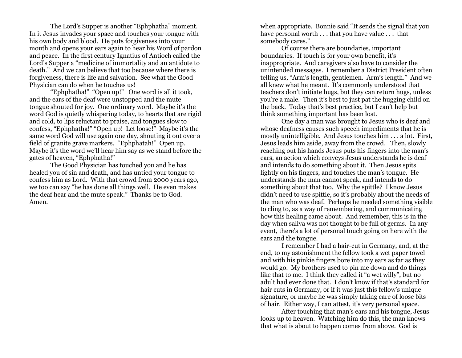The Lord's Supper is another "Ephphatha" moment. In it Jesus invades your space and touches your tongue with his own body and blood. He puts forgiveness into your mouth and opens your ears again to hear his Word of pardon and peace. In the first century Ignatius of Antioch called the Lord's Supper a "medicine of immortality and an antidote to death." And we can believe that too because where there is forgiveness, there is life and salvation. See what the Good Physician can do when he touches us!

"Ephphatha!" "Open up!" One word is all it took, and the ears of the deaf were unstopped and the mute tongue shouted for joy. One ordinary word. Maybe it's the word God is quietly whispering today, to hearts that are rigid and cold, to lips reluctant to praise, and tongues slow to confess, "Ephphatha!" "Open up! Let loose!" Maybe it's the same word God will use again one day, shouting it out over a field of granite grave markers. "Ephphatah!" Open up. Maybe it's the word we'll hear him say as we stand before the gates of heaven, "Ephphatha!"

The Good Physician has touched you and he has healed you of sin and death, and has untied your tongue to confess him as Lord. With that crowd from 2000 years ago, we too can say "he has done all things well. He even makes the deaf hear and the mute speak." Thanks be to God. Amen.

when appropriate. Bonnie said "It sends the signal that you have personal worth . . . that you have value . . . that somebody cares."

Of course there are boundaries, important boundaries. If touch is for your own benefit, it's inappropriate. And caregivers also have to consider the unintended messages. I remember a District President often telling us, "Arm's length, gentlemen. Arm's length." And we all knew what he meant. It's commonly understood that teachers don't initiate hugs, but they can return hugs, unless you're a male. Then it's best to just pat the hugging child on the back. Today that's best practice, but I can't help but think something important has been lost.

One day a man was brought to Jesus who is deaf and whose deafness causes such speech impediments that he is mostly unintelligible. And Jesus touches him . . . a lot. First, Jesus leads him aside, away from the crowd. Then, slowly reaching out his hands Jesus puts his fingers into the man's ears, an action which conveys Jesus understands he is deaf and intends to do something about it. Then Jesus spits lightly on his fingers, and touches the man's tongue. He understands the man cannot speak, and intends to do something about that too. Why the spittle? I know Jesus didn't need to use spittle, so it's probably about the needs of the man who was deaf. Perhaps he needed something visible to cling to, as a way of remembering, and communicating how this healing came about. And remember, this is in the day when saliva was not thought to be full of germs. In any event, there's a lot of personal touch going on here with the ears and the tongue.

I remember I had a hair-cut in Germany, and, at the end, to my astonishment the fellow took a wet paper towel and with his pinkie fingers bore into my ears as far as they would go. My brothers used to pin me down and do things like that to me. I think they called it "a wet willy", but no adult had ever done that. I don't know if that's standard for hair cuts in Germany, or if it was just this fellow's unique signature, or maybe he was simply taking care of loose bits of hair. Either way, I can attest, it's very personal space.

After touching that man's ears and his tongue, Jesus looks up to heaven. Watching him do this, the man knows that what is about to happen comes from above. God is